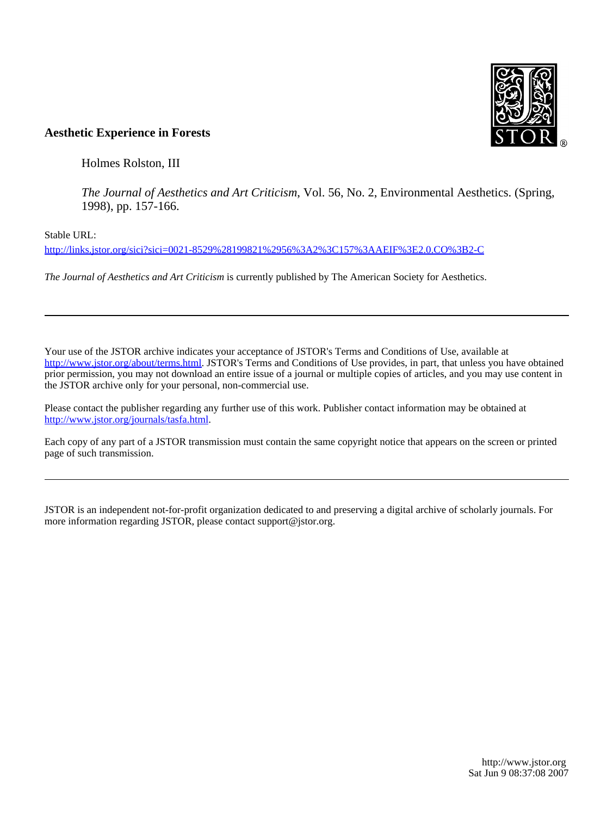

## **Aesthetic Experience in Forests**

Holmes Rolston, III

*The Journal of Aesthetics and Art Criticism*, Vol. 56, No. 2, Environmental Aesthetics. (Spring, 1998), pp. 157-166.

Stable URL:

<http://links.jstor.org/sici?sici=0021-8529%28199821%2956%3A2%3C157%3AAEIF%3E2.0.CO%3B2-C>

*The Journal of Aesthetics and Art Criticism* is currently published by The American Society for Aesthetics.

Your use of the JSTOR archive indicates your acceptance of JSTOR's Terms and Conditions of Use, available at [http://www.jstor.org/about/terms.html.](http://www.jstor.org/about/terms.html) JSTOR's Terms and Conditions of Use provides, in part, that unless you have obtained prior permission, you may not download an entire issue of a journal or multiple copies of articles, and you may use content in the JSTOR archive only for your personal, non-commercial use.

Please contact the publisher regarding any further use of this work. Publisher contact information may be obtained at <http://www.jstor.org/journals/tasfa.html>.

Each copy of any part of a JSTOR transmission must contain the same copyright notice that appears on the screen or printed page of such transmission.

JSTOR is an independent not-for-profit organization dedicated to and preserving a digital archive of scholarly journals. For more information regarding JSTOR, please contact support@jstor.org.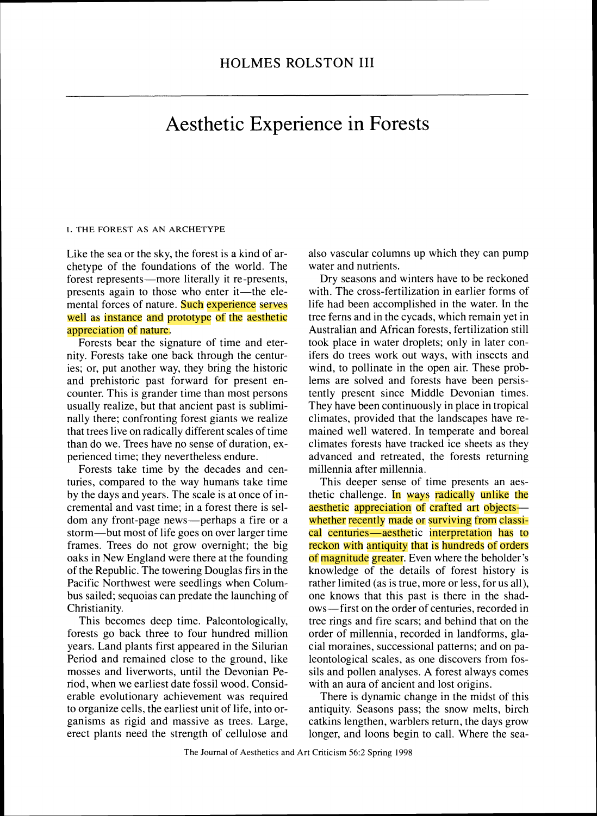# Aesthetic Experience in Forests

#### 1. THE FOREST AS AN ARCHETYPE

Like the sea or the sky, the forest is a kind of archetype of the foundations of the world. The forest represents-more literally it re-presents, presents again to those who enter it—the elemental forces of nature. Such experience serves well as instance and prototype of the aesthetic appreciation of nature.

Forests bear the signature of time and eternity. Forests take one back through the centuries; or, put another way, they bring the historic and prehistoric past forward for present encounter. This is grander time than most persons usually realize, but that ancient past is subliminally there; confronting forest giants we realize that trees live on radically different scales of time than do we. Trees have no sense of duration, experienced time; they nevertheless endure.

Forests take time by the decades and centuries, compared to the way humans take time by the days and years. The scale is at once of incremental and vast time; in a forest there is seldom any front-page news—perhaps a fire or a storm-but most of life goes on over larger time frames. Trees do not grow overnight; the big oaks in New England were there at the founding of the Republic. The towering Douglas firs in the Pacific Northwest were seedlings when Columbus sailed; sequoias can predate the launching of Christianity.

This becomes deep time. Paleontologically, forests go back three to four hundred million years. Land plants first appeared in the Silurian Period and remained close to the ground, like mosses and liverworts, until the Devonian Period, when we earliest date fossil wood. Considerable evolutionary achievement was required to organize cells. the earliest unit of life, into organisms as rigid and massive as trees. Large, erect plants need the strength of cellulose and also vascular columns up which they can pump water and nutrients.

Dry seasons and winters have to be reckoned with. The cross-fertilization in earlier forms of life had been accomplished in the water. In the tree ferns and in the cycads, which remain yet in Australian and African forests, fertilization still took place in water droplets; only in later conifers do trees work out ways, with insects and wind, to pollinate in the open air. These problems are solved and forests have been persistently present since Middle Devonian times. They have been continuously in place in tropical climates, provided that the landscapes have remained well watered. In temperate and boreal climates forests have tracked ice sheets as they advanced and retreated, the forests returning millennia after millennia.

This deeper sense of time presents an aesthetic challenge. In ways radically unlike the aesthetic appreciation of crafted art objectswhether recently made or surviving from classical centuries-aesthetic interpretation has to reckon with antiquity that is hundreds of orders of magnitude greater. Even where the beholder's knowledge of the details of forest history is rather limited (as is true, more or less, for us all), one knows that this past is there in the shadows-first on the order of centuries, recorded in tree rings and fire scars; and behind that on the order of millennia, recorded in landforms, glacial moraines, successional patterns; and on paleontological scales, as one discovers from fossils and pollen analyses. A forest always comes with an aura of ancient and lost origins.

There is dynamic change in the midst of this antiquity. Seasons pass; the snow melts, birch catkins lengthen, warblers return, the days grow longer, and loons begin to call. Where the sea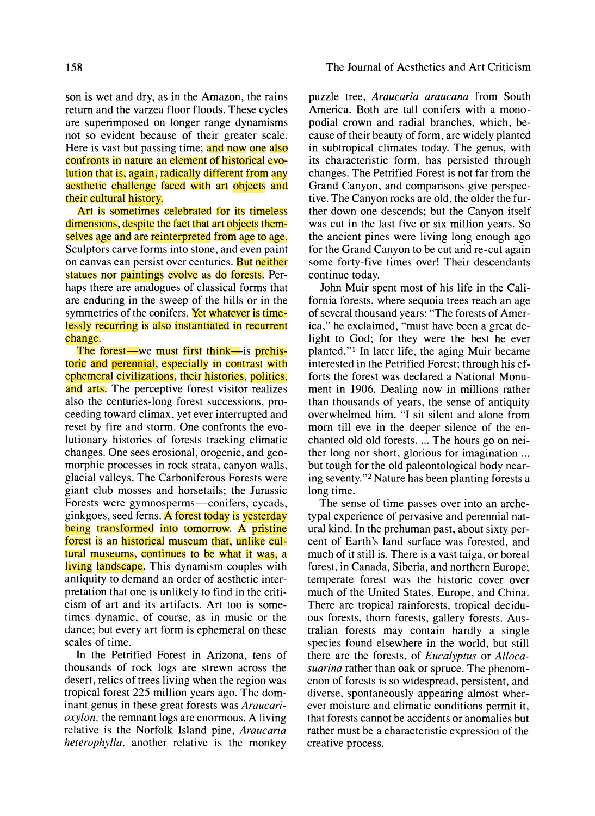son is wet and dry, as in the Amazon, the rains return and the varzea floor floods. These cycles are superimposed on longer range dynamisms not so evident because of their greater scale. Here is vast but passing time; and now one also confronts in nature an element of historical evolution that is, again, radically different from any aesthetic challenge faced with art objects and their cultural history.

Art is sometimes celebrated for its timeless dimensions, despite the fact that art objects themselves age and are reinterpreted from age to age. Sculptors carve forms into stone, and even paint on canvas can persist over centuries. But neither statues nor paintings evolve as do forests. Perhaps there are analogues of classical forms that are enduring in the sweep of the hills or in the symmetries of the conifers. Yet whatever is timelessly recurring is also instantiated in recurrent change.

The forest—we must first think—is prehistoric and perennial, especially in contrast with ephemeral civilizations, their histories, politics, and arts. The perceptive forest visitor realizes also the centuries-long forest successions, proceeding toward climax, yet ever interrupted and reset by fire and storm. One confronts the evolutionary histories of forests tracking climatic changes. One sees erosional, orogenic, and geomorphic processes in rock strata, canyon walls, glacial valleys. The Carboniferous Forests were giant club mosses and horsetails; the Jurassic Forests were gymnosperms-conifers, cycads, ginkgoes, seed ferns. A forest today is yesterday being transformed into tomorrow. A pristine forest is an historical museum that, unlike cultural museums, continues to be what it was, a living landscape. This dynamism couples with antiquity to demand an order of aesthetic interpretation that one is unlikely to find in the criticism of art and its artifacts. Art too is sometimes dynamic, of course, as in music or the dance; but every art form is ephemeral on these scales of time.

In the Petrified Forest in Arizona, tens of thousands of rock logs are strewn across the desert, relics of trees living when the region was tropical forest 225 million years ago. The dominant genus in these great forests was *Araucarioxylon;* the remnant logs are enormous. A living relative is the Norfolk Island pine, *Araucaria heterophylla,* another relative is the monkey puzzle tree, *Araucaria araucana* from South America. Both are tall conifers with a monopodia1 crown and radial branches, which, because of their beauty of form, are widely planted in subtropical climates today. The genus, with its characteristic form, has persisted through changes. The Petrified Forest is not far from the Grand Canyon, and comparisons give perspective. The Canyon rocks are old, the older the further down one descends; but the Canyon itself was cut in the last five or six million years. So the ancient pines were living long enough ago for the Grand Canyon to be cut and re-cut again some forty-five times over! Their descendants continue today.

John Muir spent most of his life in the California forests, where sequoia trees reach an age of several thousand years: "The forests of America," he exclaimed, "must have been a great delight to God; for they were the best he ever planted."' In later life, the aging Muir became interested in the Petrified Forest; through his efforts the forest was declared a National Monument in 1906. Dealing now in millions rather than thousands of years, the sense of antiquity overwhelmed him. "I sit silent and alone from morn till eve in the deeper silence of the enchanted old old forests. ... The hours go on neither long nor short, glorious for imagination ... but tough for the old paleontological body nearing seventy."<sup>2</sup> Nature has been planting forests a long time.

The sense of time passes over into an archetypal experience of pervasive and perennial natural kind. In the prehuman past, about sixty percent of Earth's land surface was forested, and much of it still is. There is a vast taiga, or boreal forest, in Canada, Siberia, and northern Europe; temperate forest was the historic cover over much of the United States, Europe, and China. There are tropical rainforests, tropical deciduous forests, thorn forests, gallery forests. Australian forests may contain hardly a single species found elsewhere in the world, but still there are the forests, of *Eucalyptus* or *Allocasuarina* rather than oak or spruce. The phenomenon of forests is so widespread, persistent, and diverse, spontaneously appearing almost wherever moisture and climatic conditions permit it, that forests cannot be accidents or anomalies but rather must be a characteristic expression of the creative process.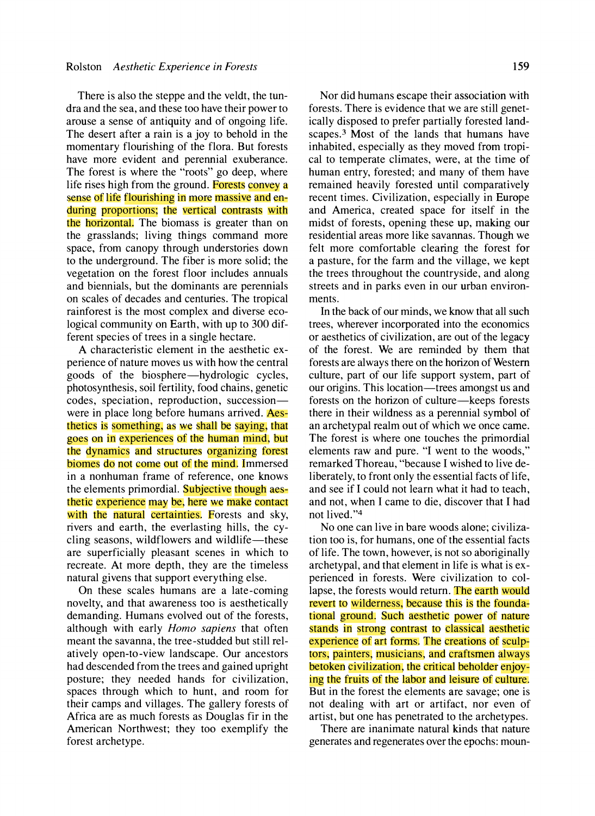There is also the steppe and the veldt, the tundra and the sea, and these too have their power to arouse a sense of antiquity and of ongoing life. The desert after a rain is a joy to behold in the momentary flourishing of the flora. But forests have more evident and perennial exuberance. The forest is where the "roots" go deep, where life rises high from the ground. Forests convey a sense of life flourishing in more massive and enduring proportions; the vertical contrasts with the horizontal. The biomass is greater than on the grasslands; living things command more space, from canopy through understories down to the underground. The fiber is more solid; the vegetation on the forest floor includes annuals and biennials, but the dominants are perennials on scales of decades and centuries. The tropical rainforest is the most complex and diverse ecological community on Earth, with up to 300 different species of trees in a single hectare.

A characteristic element in the aesthetic experience of nature moves us with how the central goods of the biosphere-hydrologic cycles, photosynthesis, soil fertility, food chains, genetic codes, speciation, reproduction, successionwere in place long before humans arrived. Aesthetics is something, as we shall be saying, that goes on in experiences of the human mind, but the dynamics and structures organizing forest biomes do not come out of the mind. Immersed in a nonhuman frame of reference, one knows the elements primordial. Subjective though aesthetic experience may be, here we make contact with the natural certainties. Forests and sky, rivers and earth, the everlasting hills, the cycling seasons, wildflowers and wildlife-these are superficially pleasant scenes in which to recreate. At more depth, they are the timeless natural givens that support everything else.

On these scales humans are a late-coming novelty, and that awareness too is aesthetically demanding. Humans evolved out of the forests, although with early Homo *sapiens* that often meant the savanna, the tree-studded but still relatively open-to-view landscape. Our ancestors had descended from the trees and gained upright posture; they needed hands for civilization, spaces through which to hunt, and room for their camps and villages. The gallery forests of Africa are as much forests as Douglas fir in the American Northwest; they too exemplify the forest archetype.

Nor did humans escape their association with forests. There is evidence that we are still genetically disposed to prefer partially forested landscapes. $3$  Most of the lands that humans have inhabited, especially as they moved from tropical to temperate climates, were, at the time of human entry, forested; and many of them have remained heavily forested until comparatively recent times. Civilization, especially in Europe and America, created space for itself in the midst of forests, opening these up, making our residential areas more like savannas. Though we felt more comfortable clearing the forest for a pasture, for the farm and the village, we kept the trees throughout the countryside, and along streets and in parks even in our urban environments.

In the back of our minds, we know that all such trees, wherever incorporated into the economics or aesthetics of civilization, are out of the legacy of the forest. We are reminded bv them that forests are always there on the horizon of Western culture, part of our life support system, part of our origins. This location—trees amongst us and forests on the horizon of culture-keeps forests there in their wildness as a perennial symbol of an archetypal realm out of which we once came. The forest is where one touches the primordial elements raw and pure. "I went to the woods," remarked Thoreau, "because I wished to live deliberately, to front only the essential facts of life, and see if I could not learn what it had to teach, and not, when I came to die, discover that I had not lived."<sup>4</sup>

No one can live in bare woods alone; civilization too is, for humans, one of the essential facts of life. The town, however, is not so aboriginally archetypal, and that element in life is what is ex perienced in forests. Were civilization to collapse, the forests would return. The earth would revert to wilderness, because this is the foundational ground. Such aesthetic power of nature stands in strong contrast to classical aesthetic experience of art forms. The creations of sculptors, painters, musicians, and craftsmen always betoken civilization, the critical beholder enjoying the fruits of the labor and leisure of culture. But in the forest the elements are savage; one is not dealing with art or artifact, nor even of artist, but one has penetrated to the archetypes.

There are inanimate natural kinds that nature generates and regenerates over the epochs: moun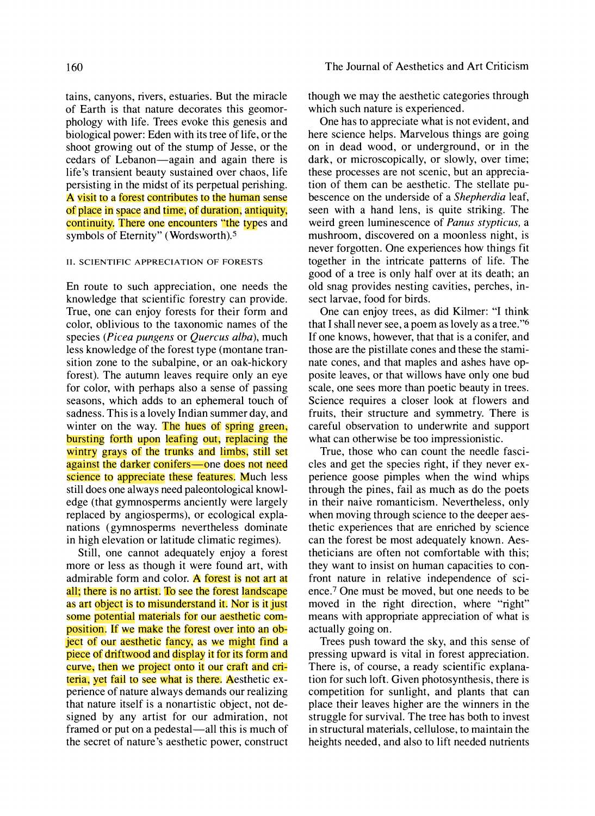tains, canyons, rivers, estuaries. But the miracle of Earth is that nature decorates this geomorphology with life. Trees evoke this genesis and biological power: Eden with its tree of life, or the shoot growing out of the stump of Jesse, or the cedars of Lebanon-again and again there is life's transient beauty sustained over chaos, life persisting in the midst of its perpetual perishing. A visit to a forest contributes to the human sense of place in space and time, of duration, antiquity, continuity. There one encounters "the types and symbols of Eternity" (Wordsworth).<sup>5</sup>

#### 11. SCIENTIFIC APPRECIATION OF FORESTS

En route to such appreciation, one needs the knowledge that scientific forestry can provide. True, one can enjoy forests for their form and color, oblivious to the taxonomic names of the species (Picea pungens or Quercus alba), much less knowledge of the forest type (montane transition zone to the subalpine, or an oak-hickory forest). The autumn leaves require only an eye for color, with perhaps also a sense of passing seasons, which adds to an ephemeral touch of sadness. This is a lovely Indian summer day, and winter on the way. The hues of spring green, bursting forth upon leafing out, replacing the wintry grays of the trunks and limbs, still set against the darker conifers-one does not need science to appreciate these features. Much less still does one always need paleontological knowledge (that gymnosperms anciently were largely replaced by angiosperms), or ecological explanations (gymnosperms nevertheless dominate in high elevation or latitude climatic regimes).

Still, one cannot adequately enjoy a forest more or less as though it were found art, with admirable form and color. A forest is not art at all; there is no artist. To see the forest landscape as art object is to misunderstand it. Nor is it just some potential materials for our aesthetic composition. If we make the forest over into an object of our aesthetic fancy, as we might find a piece of driftwood and display it for its form and curve, then we project onto it our craft and criteria, yet fail to see what is there. Aesthetic experience of nature always demands our realizing that nature itself is a nonartistic object, not designed by any artist for our admiration, not framed or put on a pedestal—all this is much of the secret of nature's aesthetic power, construct though we may the aesthetic categories through which such nature is experienced.

One has to appreciate what is not evident, and here science helps. Marvelous things are going on in dead wood, or underground, or in the dark, or microscopically, or slowly, over time; these processes are not scenic, but an appreciation of them can be aesthetic. The stellate pubescence on the underside of a Shepherdia leaf, seen with a hand lens, is quite striking. The weird green luminescence of Panus stypticus, a mushroom, discovered on a moonless night, is never forgotten. One experiences how things fit together in the intricate patterns of life. The good of a tree is only half over at its death; an old snag provides nesting cavities, perches, insect larvae, food for birds.

One can enjoy trees, as did Kilmer: "I think that I shall never see, a poem as lovely as a tree."6 If one knows, however, that that is a conifer, and those are the pistillate cones and these the staminate cones, and that maples and ashes have opposite leaves, or that willows have only one bud scale, one sees more than poetic beauty in trees. Science requires a closer look at flowers and fruits, their structure and symmetry. There is careful observation to underwrite and support what can otherwise be too impressionistic.

True, those who can count the needle fascicles and get the species right, if they never experience goose pimples when the wind whips through the pines, fail as much as do the poets in their naive romanticism. Nevertheless, only when moving through science to the deeper aesthetic experiences that are enriched by science can the forest be most adequately known. Aestheticians are often not comfortable with this; they want to insist on human capacities to confront nature in relative independence of science.' One must be moved, but one needs to be moved in the right direction, where "right" means with appropriate appreciation of what is actually going on.

Trees push toward the sky, and this sense of pressing upward is vital in forest appreciation. There is, of course, a ready scientific explanation for such loft. Given photosynthesis, there is competition for sunlight, and plants that can place their leaves higher are the winners in the struggle for survival. The tree has both to invest in structural materials, cellulose, to maintain the heights needed, and also to lift needed nutrients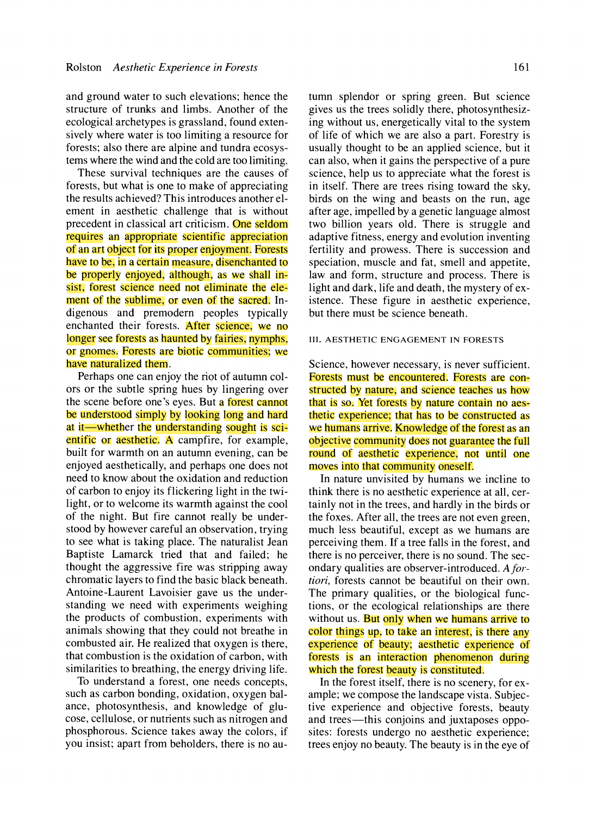and ground water to such elevations; hence the structure of trunks and limbs. Another of the ecological archetypes is grassland, found extensively where water is too limiting a resource for forests; also there are alpine and tundra ecosystems where the wind and the cold are too limiting.

These survival techniques are the causes of forests, but what is one to make of appreciating the results achieved? This introduces another element in aesthetic challenge that is without precedent in classical art criticism. One seldom requires an appropriate scientific appreciation of an art object for its proper enjoyment. Forests have to be, in a certain measure, disenchanted to be properly enjoyed, although, as we shall insist, forest science need not eliminate the element of the sublime, or even of the sacred. Indigenous and premodern peoples typically enchanted their forests. After science, we no longer see forests as haunted by fairies, nymphs, or gnomes. Forests are biotic communities; we have naturalized them.

Perhaps one can enjoy the riot of autumn colors or the subtle spring hues by lingering over the scene before one's eyes. But a forest cannot be understood simply by looking long and hard at it—whether the understanding sought is scientific or aesthetic. A campfire, for example, built for warmth on an autumn evening, can be enjoyed aesthetically, and perhaps one does not need to know about the oxidation and reduction of carbon to enjoy its flickering light in the twilight, or to welcome its warmth against the cool of the night. But fire cannot really be understood by however careful an observation, trying to see what is taking place. The naturalist Jean Baptiste Lamarck tried that and failed; he thought the aggressive fire was stripping away chromatic layers to find the basic black beneath. Antoine-Laurent Lavoisier gave us the understanding we need with experiments weighing the products of combustion, experiments with animals showing that they could not breathe in combusted air. He realized that oxygen is there, that combustion is the oxidation of carbon, with similarities to breathing, the energy driving life.

To understand a forest, one needs concepts, such as carbon bonding, oxidation, oxygen balance, photosynthesis, and knowledge of glucose, cellulose, or nutrients such as nitrogen and phosphorous. Science takes away the colors, if you insist; apart from beholders, there is no autumn splendor or spring green. But science gives us the trees solidly there, photosynthesizing without us, energetically vital to the system of life of which we are also a part. Forestry is usually thought to be an applied science, but it can also, when it gains the perspective of a pure science, help us to appreciate what the forest is in itself. There are trees rising toward the sky, birds on the wing and beasts on the run, age after age, impelled by a genetic language almost two billion years old. There is struggle and adaptive fitness, energy and evolution inventing fertility and prowess. There is succession and speciation, muscle and fat, smell and appetite, law and form, structure and process. There is light and dark, life and death, the mystery of existence. These figure in aesthetic experience, but there must be science beneath.

#### **111.** AESTHETIC ENGAGEMENT IN FORESTS

Science, however necessary, is never sufficient. Forests must be encountered. Forests are constructed by nature, and science teaches us how that is so. Yet forests by nature contain no aesthetic experience; that has to be constructed as we humans arrive. Knowledge of the forest as an objective community does not guarantee the full round of aesthetic experience, not until one moves into that community oneself.

In nature unvisited by humans we incline to think there is no aesthetic experience at all, certainly not in the trees, and hardly in the birds or the foxes. After all, the trees are not even green, much less beautiful, except as we humans are perceiving them. If a tree falls in the forest, and there is no perceiver, there is no sound. The secondary qualities are observer-introduced. *A fortiori,* forests cannot be beautiful on their own. The primary qualities, or the biological functions, or the ecological relationships are there without us. But only when we humans arrive to color things up, to take an interest, is there any experience of beauty; aesthetic experience of forests is an interaction phenomenon during which the forest beauty is constituted.

In the forest itself, there is no scenery, for example; we compose the landscape vista. Subjective experience and objective forests, beauty and trees—this conjoins and juxtaposes opposites: forests undergo no aesthetic experience; trees enjoy no beauty. The beauty is in the eye of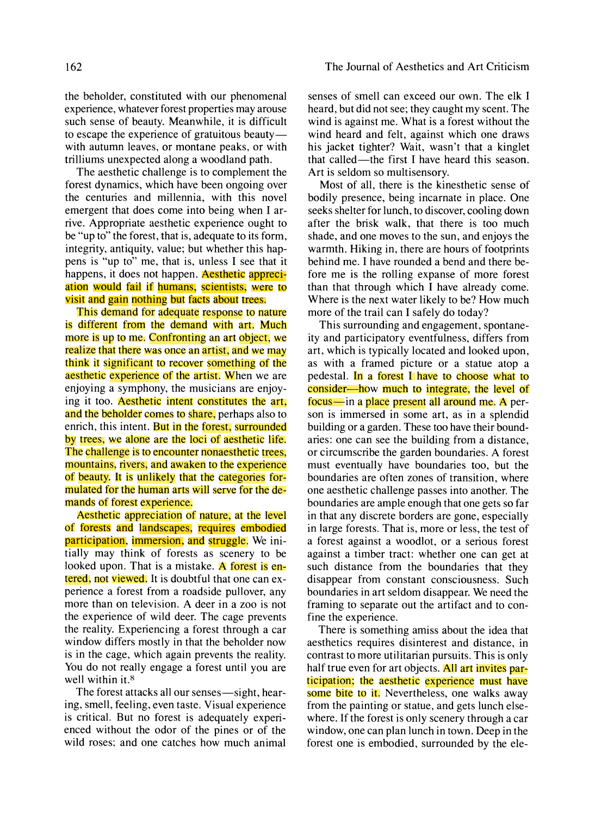the beholder, constituted with our phenomenal experience, whatever forest properties may arouse such sense of beauty. Meanwhile, it is difficult to escape the experience of gratuitous beautywith autumn leaves, or montane peaks, or with trilliums unexpected along a woodland path.

The aesthetic challenge is to complement the forest dynamics, which have been ongoing over the centuries and millennia, with this novel emergent that does come into being when I arrive. Appropriate aesthetic experience ought to be "up to" the forest, that is, adequate to its form, integrity, antiquity, value; but whether this happens is "up to" me, that is, unless I see that it happens, it does not happen. Aesthetic appreciation would fail if humans, scientists, were to visit and gain nothing but facts about trees.

This demand for adequate response to nature is different from the demand with art. Much more is up to me. Confronting an art object, we realize that there was once an artist, and we may think it significant to recover something of the aesthetic experience of the artist. When we are enjoying a symphony, the musicians are enjoying it too. Aesthetic intent constitutes the art, and the beholder comes to share, perhaps also to enrich, this intent. But in the forest, surrounded by trees, we alone are the loci of aesthetic life. The challenge is to encounter nonaesthetic trees. mountains, rivers, and awaken to the experience of beauty. It is unlikely that the categories formulated for the human arts will serve for the demands of forest experience.

Aesthetic appreciation of nature, at the level of forests and landscapes, requires embodied participation, immersion, and struggle. We initially may think of forests as scenery to be looked upon. That is a mistake. A forest is entered, not viewed. It is doubtful that one can experience a forest from a roadside pullover, any more than on television. A deer in a zoo is not the experience of wild deer. The cage prevents the reality. Experiencing a forest through a car window differs mostly in that the beholder now is in the cage. which again prevents the reality. You do not really engage a forest until you are well within it.<sup>8</sup>

The forest attacks all our senses—sight, hearing, smell, feeling, even taste. Visual experience is critical. But no forest is adequately experienced without the odor of the pines or of the wild roses; and one catches how much animal

senses of smell can exceed our own. The elk I heard, but did not see; they caught my scent. The wind is against me. What is a forest without the wind heard and felt, against which one draws his jacket tighter? Wait, wasn't that a kinglet that called—the first I have heard this season. Art is seldom so multisensory.

Most of all, there is the kinesthetic sense of bodily presence, being incarnate in place. One seeks shelter for lunch, to discover, cooling down after the brisk walk, that there is too much shade, and one moves to the sun, and enjoys the warmth. Hiking in, there are hours of footprints behind me. I have rounded a bend and there before me is the rolling expanse of more forest than that through which I have already come. Where is the next water likely to be? How much more of the trail can I safely do today?

This surrounding and engagement, spontaneity and participatory eventfulness, differs from art, which is typically located and looked upon, as with a framed picture or a statue atop a pedestal. In a forest I have to choose what to consider-how much to integrate, the level of focus—in a place present all around me. A person is immersed in some art, as in a splendid building or a garden. These too have their boundaries: one can see the building from a distance, or circumscribe the garden boundaries. A forest must eventually have boundaries too, but the boundaries are often zones of transition, where one aesthetic challenge passes into another. The boundaries are ample enough that one gets so far in that any discrete borders are gone, especially in large forests. That is, more or less, the test of a forest against a woodlot, or a serious forest against a timber tract: whether one can get at such distance from the boundaries that they disappear from constant consciousness. Such boundaries in art seldom disappear. We need the framing to separate out the artifact and to confine the experience.

There is something amiss about the idea that aesthetics requires disinterest and distance, in contrast to more utilitarian pursuits. This is only half true even for art objects. All art invites participation; the aesthetic experience must have some bite to it. Nevertheless, one walks away from the painting or statue, and gets lunch elsewhere. If the forest is only scenery through a car window, one can plan lunch in town. Deep in the forest one is embodied, surrounded by the ele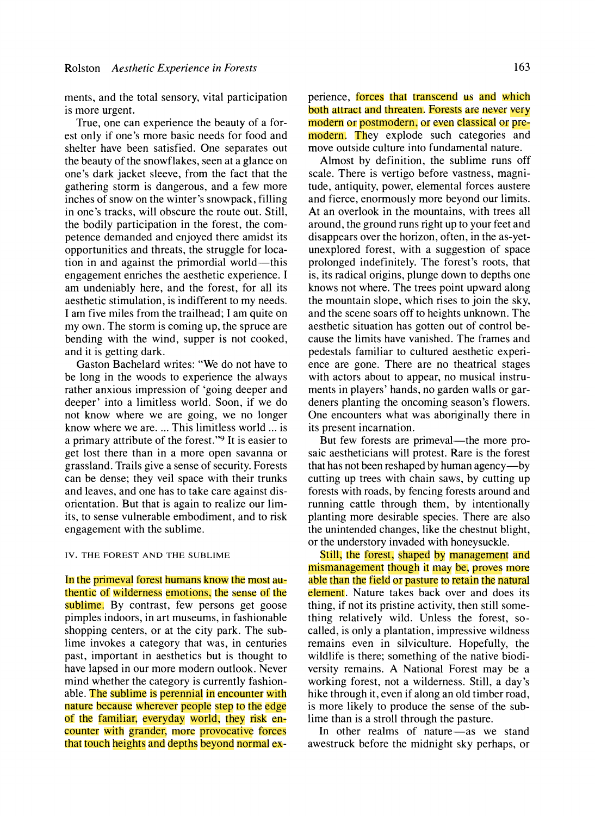ments, and the total sensory, vital participation is more urgent.

True, one can experience the beauty of a forest only if one's more basic needs for food and shelter have been satisfied. One separates out the beauty of the snowflakes, seen at a glance on one's dark jacket sleeve, from the fact that the gathering storm is dangerous, and a few more inches of snow on the winter's snowpack, filling in one's tracks, will obscure the route out. Still, the bodily participation in the forest, the competence demanded and enjoyed there amidst its opportunities and threats, the struggle for location in and against the primordial world—this engagement enriches the aesthetic experience. I am undeniably here, and the forest, for all its aesthetic stimulation, is indifferent to my needs. I am five miles from the trailhead; I am quite on my own. The storm is coming up, the spruce are bending with the wind, supper is not cooked, and it is getting dark.

Gaston Bachelard writes: "We do not have to be long in the woods to experience the always rather anxious impression of 'going deeper and deeper' into a limitless world. Soon, if we do not know where we are going, we no longer know where we are. ... This limitless world ... is a primary attribute of the forest."<sup>9</sup> It is easier to get lost there than in a more open savanna or grassland. Trails give a sense of security. Forests can be dense; they veil space with their trunks and leaves, and one has to take care against disorientation. But that is again to realize our limits, to sense vulnerable embodiment, and to risk engagement with the sublime.

#### 1V. THE FOREST AND THE SUBLIME

In the primeval forest humans know the most authentic of wilderness emotions, the sense of the sublime. By contrast, few persons get goose pimples indoors, in art museums, in fashionable shopping centers, or at the city park. The sublime invokes a category that was, in centuries past, important in aesthetics but is thought to have lapsed in our more modern outlook. Never mind whether the category is currently fashionable. The sublime is perennial in encounter with nature because wherever people step to the edge of the familiar, everyday world, they risk encounter with grander, more provocative forces that touch heights and depths beyond normal ex-

perience, forces that transcend us and which both attract and threaten. Forests are never very modern or postmodern, or even classical or premodern. They explode such categories and move outside culture into fundamental nature.

Almost by definition, the sublime runs off scale. There is vertigo before vastness, magnitude, antiquity, power, elemental forces austere and fierce, enormously more beyond our limits. At an overlook in the mountains, with trees all around, the ground runs right up to your feet and disappears over the horizon, often, in the as-yetunexplored forest, with a suggestion of space prolonged indefinitely. The forest's roots, that is, its radical origins, plunge down to depths one knows not where. The trees point upward along the mountain slope, which rises to join the sky, and the scene soars off to heights unknown. The aesthetic situation has gotten out of control because the limits have vanished. The frames and pedestals familiar to cultured aesthetic experience are gone. There are no theatrical stages with actors about to appear, no musical instruments in players' hands, no garden walls or gardeners planting the oncoming season's flowers. One encounters what was aboriginally there in its present incarnation.

But few forests are primeval—the more prosaic aestheticians will protest. Rare is the forest that has not been reshaped by human agency---cutting up trees with chain saws, by cutting up forests with roads, by fencing forests around and running cattle through them, by intentionally planting more desirable species. There are also the unintended changes, like the chestnut blight, or the understory invaded with honeysuckle.

Still, the forest, shaped by management and mismanagement though it may be, proves more able than the field or pasture to retain the natural **element**. Nature takes back over and does its thing, if not its pristine activity, then still something relatively wild. Unless the forest, socalled, is only a plantation, impressive wildness remains even in silviculture. Hopefully, the wildlife is there; something of the native biodiversity remains. **A** National Forest may be a working forest, not a wilderness. Still, a day's hike through it, even if along an old timber road, is more likely to produce the sense of the sublime than is a stroll through the pasture.

In other realms of nature-as we stand awestruck before the midnight sky perhaps, or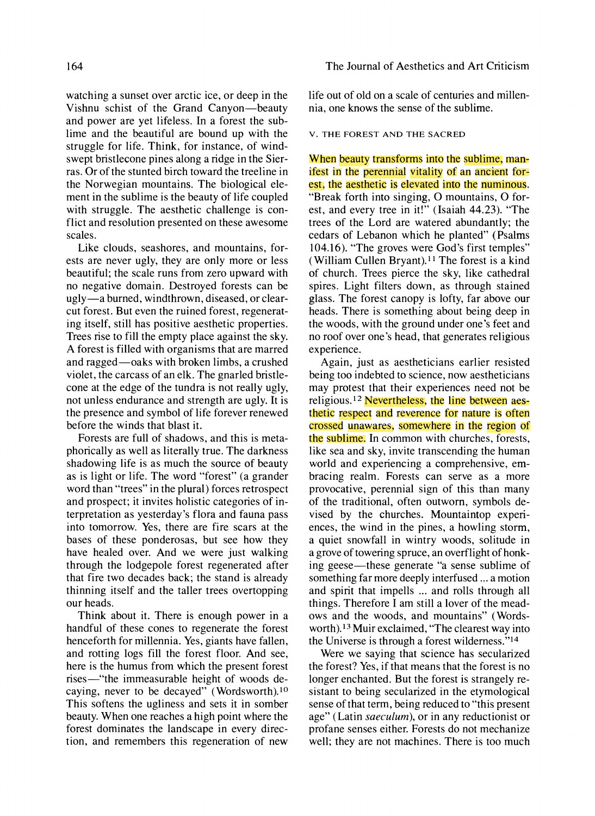watching a sunset over arctic ice, or deep in the Vishnu schist of the Grand Canyon-beauty and power are yet lifeless. In a forest the sublime and the beautiful are bound up with the struggle for life. Think, for instance, of windswept bristlecone pines along a ridge in the Sierras. Or of the stunted birch toward the treeline in the Norwegian mountains. The biological element in the sublime is the beauty of life coupled with struggle. The aesthetic challenge is conflict and resolution presented on these awesome scales.

Like clouds, seashores, and mountains, forests are never ugly, they are only more or less beautiful; the scale runs from zero upward with no negative domain. Destroyed forests can be ugly-a burned, windthrown, diseased, or clearcut forest. But even the ruined forest, regenerating itself, still has positive aesthetic properties. Trees rise to fill the empty place against the sky. A forest is filled with organisms that are marred and ragged-oaks with broken limbs, a crushed violet, the carcass of an elk. The gnarled bristlecone at the edge of the tundra is not really ugly, not unless endurance and strength are ugly. It is the presence and symbol of life forever renewed before the winds that blast it.

Forests are full of shadows, and this is metaphorically as well as literally true. The darkness shadowing life is as much the source of beauty as is light or life. The word "forest" (a grander word than "trees" in the plural) forces retrospect and prospect; it invites holistic categories of interpretation as yesterday's flora and fauna pass into tomorrow. Yes, there are fire scars at the bases of these ponderosas, but see how they have healed over. And we were just walking through the lodgepole forest regenerated after that fire two decades back; the stand is already thinning itself and the taller trees overtopping our heads.

Think about it. There is enough power in a handful of these cones to regenerate the forest henceforth for millennia. Yes, giants have fallen, and rotting logs fill the forest floor. And see, here is the humus from which the present forest rises—"the immeasurable height of woods decaying, never to be decayed" (Wordsworth).<sup>10</sup> This softens the ugliness and sets it in somber beauty. When one reaches a high point where the forest dominates the landscape in every direction, and remembers this regeneration of new life out of old on a scale of centuries and millennia, one knows the sense of the sublime.

#### V. THE FOREST AND THE SACRED

When beauty transforms into the sublime, manifest in the perennial vitality of an ancient forest, the aesthetic is elevated into the numinous. "Break forth into singing, 0 mountains, 0 forest, and every tree in it!" (Isaiah 44.23). "The trees of the Lord are watered abundantly; the cedars of Lebanon which he planted" (Psalms 104.16)."The groves were God's first temples" (William Cullen Bryant).<sup>11</sup> The forest is a kind of church. Trees pierce the sky, like cathedral spires. Light filters down, as through stained glass. The forest canopy is lofty, far above our heads. There is something about being deep in the woods, with the ground under one's feet and no roof over one's head, that generates religious experience.

Again, just as aestheticians earlier resisted being too indebted to science, now aestheticians may protest that their experiences need not be religious.<sup>12</sup> Nevertheless, the line between aesthetic respect and reverence for nature is often crossed unawares, somewhere in the region of the sublime. In common with churches, forests, like sea and sky, invite transcending the human world and experiencing a comprehensive, embracing realm. Forests can serve as a more provocative, perennial sign of this than many of the traditional, often outworn, symbols devised by the churches. Mountaintop experiences. the wind in the pines, a howling storm, a quiet snowfall in wintry woods, solitude in a grove of towering spruce, an overflight of honking geese—these generate "a sense sublime of something far more deeply interfused ... a motion and spirit that impells ... and rolls through all things. Therefore I am still a lover of the meadows and the woods, and mountains" (Wordsworth).<sup>13</sup> Muir exclaimed, "The clearest way into the Universe is through a forest wilderness."<sup>14</sup>

Were we saying that science has secularized the forest? Yes, if that means that the forest is no longer enchanted. But the forest is strangely resistant to being secularized in the etymological sense of that term, being reduced to "this present age" (Latin *saeculum),* or in any reductionist or profane senses either. Forests do not mechanize well; they are not machines. There is too much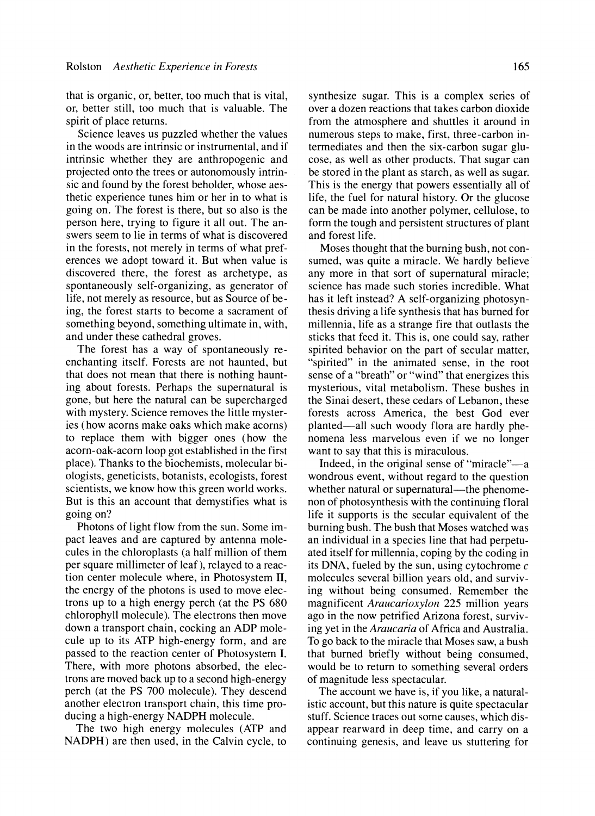that is organic, or, better, too much that is vital, or, better still, too much that is valuable. The spirit of place returns.

Science leaves us puzzled whether the values in the woods are intrinsic or instrumental, and if intrinsic whether they are anthropogenic and projected onto the trees or autonomously intrinsic and found by the forest beholder, whose aesthetic experience tunes him or her in to what is going on. The forest is there, but so also is the person here, trying to figure it all out. The answers seem to lie in terms of what is discovered in the forests, not merely in terms of what preferences we adopt toward it. But when value is discovered there, the forest as archetype, as spontaneously self-organizing, as generator of life, not merely as resource, but as Source of being, the forest starts to become a sacrament of something beyond, something ultimate in, with, and under these cathedral groves.

The forest has a way of spontaneously reenchanting itself. Forests are not haunted, but that does not mean that there is nothing haunting about forests. Perhaps the supernatural is gone, but here the natural can be supercharged with mystery. Science removes the little mysteries (how acorns make oaks which make acorns) to replace them with bigger ones (how the acorn-oak-acorn loop got established in the first place). Thanks to the biochemists, molecular biologists, geneticists, botanists, ecologists, forest scientists, we know how this green world works. But is this an account that demystifies what is going on?

Photons of light flow from the sun. Some impact leaves and are captured by antenna molecules in the chloroplasts (a half million of them per square millimeter of leaf), relayed to a reaction center molecule where, in Photosystem 11, the energy of the photons is used to move electrons up to a high energy perch (at the PS 680 chlorophyll molecule). The electrons then move down a transport chain, cocking an ADP molecule up to its ATP high-energy form, and are passed to the reaction center of Photosystem I. There, with more photons absorbed, the electrons are moved back up to a second high-energy perch (at the PS 700 molecule). They descend another electron transport chain, this time producing a high-energy NADPH molecule.

The two high energy molecules (ATP and NADPH) are then used, in the Calvin cycle, to synthesize sugar. This is a complex series of over a dozen reactions that takes carbon dioxide from the atmosphere and shuttles it around in numerous steps to make, first, three-carbon intermediates and then the six-carbon sugar glucose, as well as other products. That sugar can be stored in the plant as starch, as well as sugar. This is the energy that powers essentially all of life, the fuel for natural history. Or the glucose can be made into another polymer, cellulose, to form the tough and persistent structures of plant and forest life.

Moses thought that the burning bush, not consumed, was quite a miracle. We hardly believe any more in that sort of supernatural miracle; science has made such stories incredible. What has it left instead? A self-organizing photosynthesis driving a life synthesis that has burned for millennia, life as a strange fire that outlasts the sticks that feed it. This is, one could say, rather spirited behavior on the part of secular matter, "spirited" in the animated sense, in the root sense of a "breath" or "wind" that energizes this mysterious, vital metabolism. These bushes in the Sinai desert, these cedars of Lebanon, these forests across America, the best God ever planted-all such woody flora are hardly phenomena less marvelous even if we no longer want to say that this is miraculous.

Indeed, in the original sense of "miracle"—a wondrous event, without regard to the question whether natural or supernatural—the phenomenon of photosynthesis with the continuing floral life it supports is the secular equivalent of the burning bush. The bush that Moses watched was an individual in a species line that had perpetuated itself for millennia, coping by the coding in its DNA, fueled by the sun, using cytochrome  $c$ molecules several billion years old, and surviving without being consumed. Remember the magnificent *Araucarioxylon* 225 million years ago in the now petrified Arizona forest, surviving yet in the *Araucaria* of Africa and Australia. To go back to the miracle that Moses saw, a bush that burned briefly without being consumed, would be to return to something several orders of magnitude less spectacular.

The account we have is, if you like, a naturalistic account, but this nature is quite spectacular stuff. Science traces out some causes, which disappear rearward in deep time, and carry on a continuing genesis, and leave us stuttering for